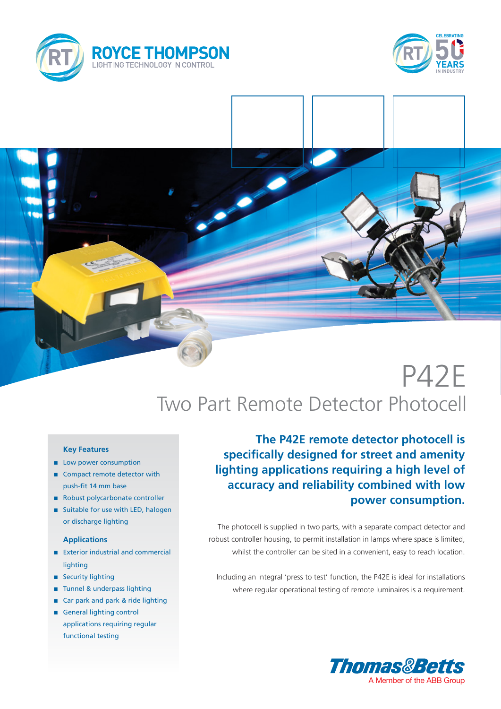





# P42E Two Part Remote Detector Photocell

#### **Key Features**

- **n** Low power consumption
- Compact remote detector with push-fit 14 mm base
- Robust polycarbonate controller
- Suitable for use with LED, halogen or discharge lighting

### **Applications**

- Exterior industrial and commercial lighting
- security lighting
- n Tunnel & underpass lighting
- Car park and park & ride lighting
- **n** General lighting control applications requiring regular functional testing

**The P42E remote detector photocell is specifically designed for street and amenity lighting applications requiring a high level of accuracy and reliability combined with low power consumption.**

The photocell is supplied in two parts, with a separate compact detector and robust controller housing, to permit installation in lamps where space is limited, whilst the controller can be sited in a convenient, easy to reach location.

Including an integral 'press to test' function, the P42E is ideal for installations where regular operational testing of remote luminaires is a requirement.